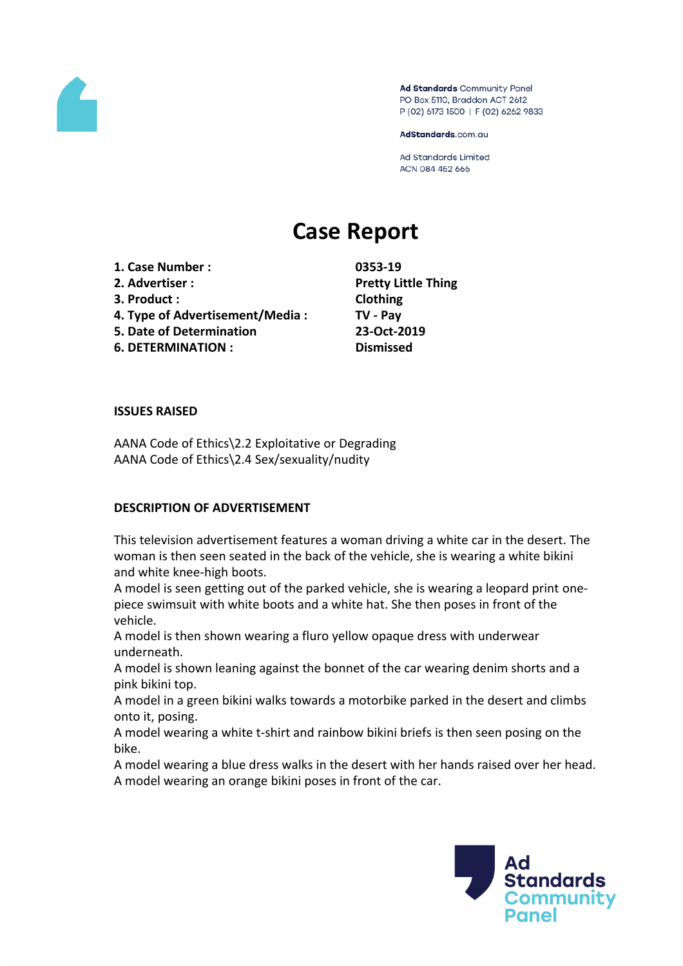

Ad Standards Community Panel PO Box 5110, Braddon ACT 2612 P (02) 6173 1500 | F (02) 6262 9833

AdStandards.com.au

Ad Standards Limited ACN 084 452 666

# **Case Report**

**1. Case Number : 0353-19**

- 
- 
- **4. Type of Advertisement/Media : TV - Pay**
- **5. Date of Determination 23-Oct-2019**

**6. DETERMINATION : Dismissed**

**2. Advertiser : Pretty Little Thing 3. Product : Clothing**

#### **ISSUES RAISED**

AANA Code of Ethics\2.2 Exploitative or Degrading AANA Code of Ethics\2.4 Sex/sexuality/nudity

# **DESCRIPTION OF ADVERTISEMENT**

This television advertisement features a woman driving a white car in the desert. The woman is then seen seated in the back of the vehicle, she is wearing a white bikini and white knee-high boots.

A model is seen getting out of the parked vehicle, she is wearing a leopard print onepiece swimsuit with white boots and a white hat. She then poses in front of the vehicle.

A model is then shown wearing a fluro yellow opaque dress with underwear underneath.

A model is shown leaning against the bonnet of the car wearing denim shorts and a pink bikini top.

A model in a green bikini walks towards a motorbike parked in the desert and climbs onto it, posing.

A model wearing a white t-shirt and rainbow bikini briefs is then seen posing on the bike.

A model wearing a blue dress walks in the desert with her hands raised over her head. A model wearing an orange bikini poses in front of the car.

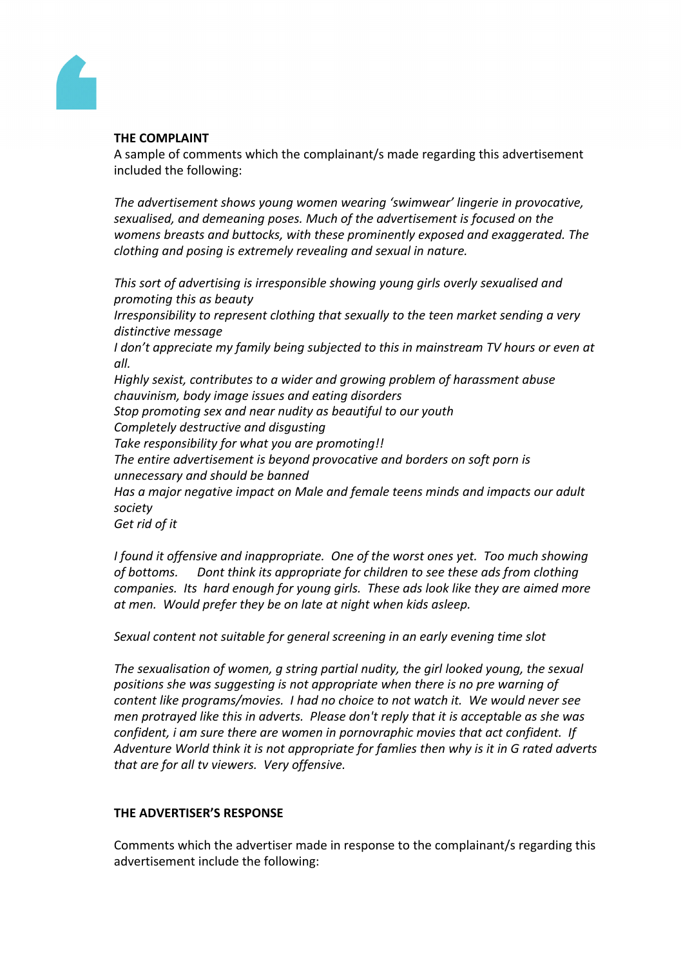

### **THE COMPLAINT**

A sample of comments which the complainant/s made regarding this advertisement included the following:

*The advertisement shows young women wearing 'swimwear' lingerie in provocative, sexualised, and demeaning poses. Much of the advertisement is focused on the womens breasts and buttocks, with these prominently exposed and exaggerated. The clothing and posing is extremely revealing and sexual in nature.*

*This sort of advertising is irresponsible showing young girls overly sexualised and promoting this as beauty*

*Irresponsibility to represent clothing that sexually to the teen market sending a very distinctive message*

*I don't appreciate my family being subjected to this in mainstream TV hours or even at all.*

*Highly sexist, contributes to a wider and growing problem of harassment abuse chauvinism, body image issues and eating disorders*

*Stop promoting sex and near nudity as beautiful to our youth*

*Completely destructive and disgusting*

*Take responsibility for what you are promoting!!*

*The entire advertisement is beyond provocative and borders on soft porn is unnecessary and should be banned*

*Has a major negative impact on Male and female teens minds and impacts our adult society*

*Get rid of it*

*I found it offensive and inappropriate. One of the worst ones yet. Too much showing of bottoms. Dont think its appropriate for children to see these ads from clothing companies. Its hard enough for young girls. These ads look like they are aimed more at men. Would prefer they be on late at night when kids asleep.*

*Sexual content not suitable for general screening in an early evening time slot*

*The sexualisation of women, g string partial nudity, the girl looked young, the sexual positions she was suggesting is not appropriate when there is no pre warning of content like programs/movies. I had no choice to not watch it. We would never see men protrayed like this in adverts. Please don't reply that it is acceptable as she was confident, i am sure there are women in pornovraphic movies that act confident. If Adventure World think it is not appropriate for famlies then why is it in G rated adverts that are for all tv viewers. Very offensive.*

#### **THE ADVERTISER'S RESPONSE**

Comments which the advertiser made in response to the complainant/s regarding this advertisement include the following: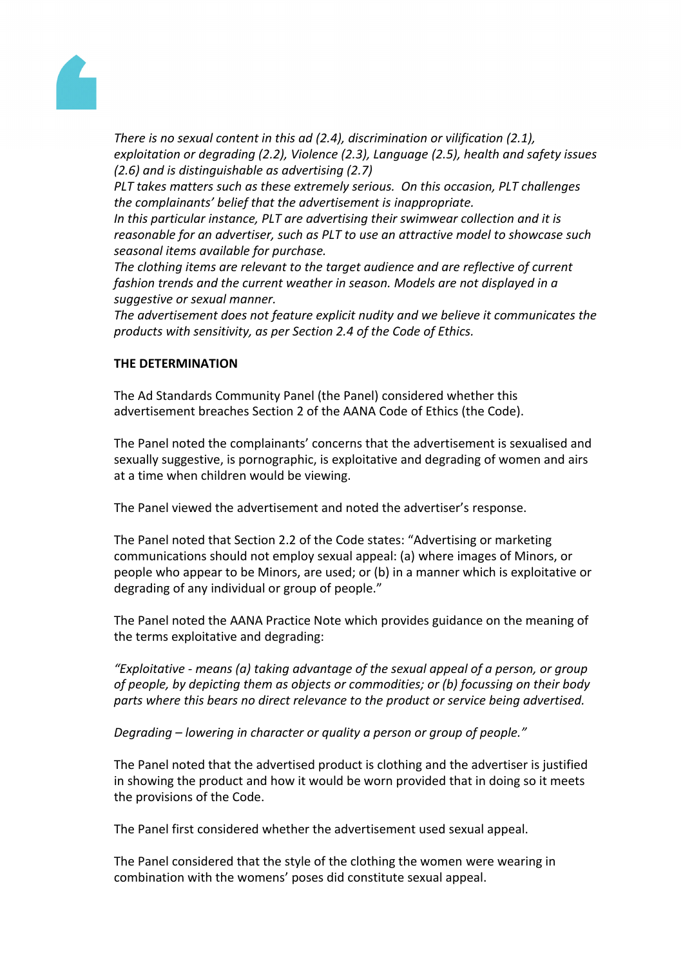

*There is no sexual content in this ad (2.4), discrimination or vilification (2.1), exploitation or degrading (2.2), Violence (2.3), Language (2.5), health and safety issues (2.6) and is distinguishable as advertising (2.7)*

*PLT takes matters such as these extremely serious. On this occasion, PLT challenges the complainants' belief that the advertisement is inappropriate.* 

*In this particular instance, PLT are advertising their swimwear collection and it is reasonable for an advertiser, such as PLT to use an attractive model to showcase such seasonal items available for purchase.* 

*The clothing items are relevant to the target audience and are reflective of current fashion trends and the current weather in season. Models are not displayed in a suggestive or sexual manner.*

*The advertisement does not feature explicit nudity and we believe it communicates the products with sensitivity, as per Section 2.4 of the Code of Ethics.*

## **THE DETERMINATION**

The Ad Standards Community Panel (the Panel) considered whether this advertisement breaches Section 2 of the AANA Code of Ethics (the Code).

The Panel noted the complainants' concerns that the advertisement is sexualised and sexually suggestive, is pornographic, is exploitative and degrading of women and airs at a time when children would be viewing.

The Panel viewed the advertisement and noted the advertiser's response.

The Panel noted that Section 2.2 of the Code states: "Advertising or marketing communications should not employ sexual appeal: (a) where images of Minors, or people who appear to be Minors, are used; or (b) in a manner which is exploitative or degrading of any individual or group of people."

The Panel noted the AANA Practice Note which provides guidance on the meaning of the terms exploitative and degrading:

*"Exploitative - means (a) taking advantage of the sexual appeal of a person, or group of people, by depicting them as objects or commodities; or (b) focussing on their body parts where this bears no direct relevance to the product or service being advertised.*

*Degrading – lowering in character or quality a person or group of people."*

The Panel noted that the advertised product is clothing and the advertiser is justified in showing the product and how it would be worn provided that in doing so it meets the provisions of the Code.

The Panel first considered whether the advertisement used sexual appeal.

The Panel considered that the style of the clothing the women were wearing in combination with the womens' poses did constitute sexual appeal.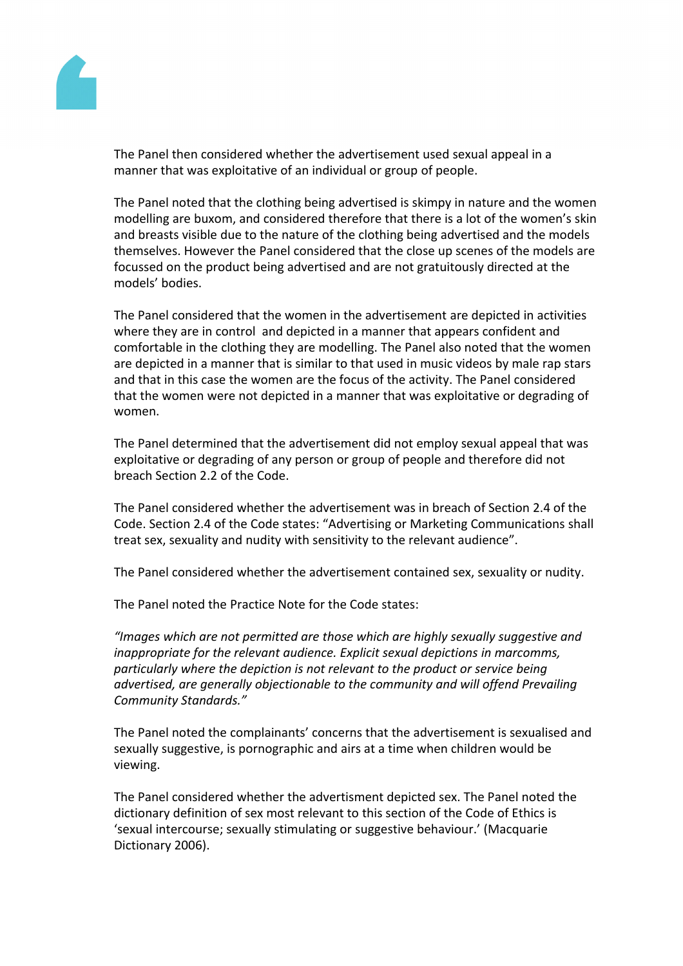

The Panel then considered whether the advertisement used sexual appeal in a manner that was exploitative of an individual or group of people.

The Panel noted that the clothing being advertised is skimpy in nature and the women modelling are buxom, and considered therefore that there is a lot of the women's skin and breasts visible due to the nature of the clothing being advertised and the models themselves. However the Panel considered that the close up scenes of the models are focussed on the product being advertised and are not gratuitously directed at the models' bodies.

The Panel considered that the women in the advertisement are depicted in activities where they are in control and depicted in a manner that appears confident and comfortable in the clothing they are modelling. The Panel also noted that the women are depicted in a manner that is similar to that used in music videos by male rap stars and that in this case the women are the focus of the activity. The Panel considered that the women were not depicted in a manner that was exploitative or degrading of women.

The Panel determined that the advertisement did not employ sexual appeal that was exploitative or degrading of any person or group of people and therefore did not breach Section 2.2 of the Code.

The Panel considered whether the advertisement was in breach of Section 2.4 of the Code. Section 2.4 of the Code states: "Advertising or Marketing Communications shall treat sex, sexuality and nudity with sensitivity to the relevant audience".

The Panel considered whether the advertisement contained sex, sexuality or nudity.

The Panel noted the Practice Note for the Code states:

*"Images which are not permitted are those which are highly sexually suggestive and inappropriate for the relevant audience. Explicit sexual depictions in marcomms, particularly where the depiction is not relevant to the product or service being advertised, are generally objectionable to the community and will offend Prevailing Community Standards."*

The Panel noted the complainants' concerns that the advertisement is sexualised and sexually suggestive, is pornographic and airs at a time when children would be viewing.

The Panel considered whether the advertisment depicted sex. The Panel noted the dictionary definition of sex most relevant to this section of the Code of Ethics is 'sexual intercourse; sexually stimulating or suggestive behaviour.' (Macquarie Dictionary 2006).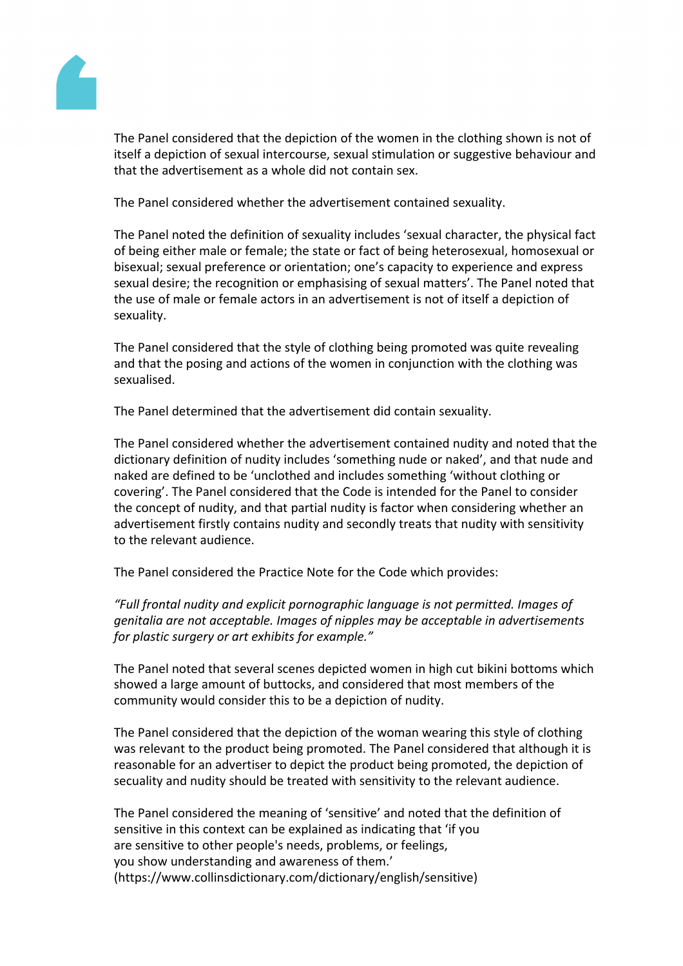

The Panel considered that the depiction of the women in the clothing shown is not of itself a depiction of sexual intercourse, sexual stimulation or suggestive behaviour and that the advertisement as a whole did not contain sex.

The Panel considered whether the advertisement contained sexuality.

The Panel noted the definition of sexuality includes 'sexual character, the physical fact of being either male or female; the state or fact of being heterosexual, homosexual or bisexual; sexual preference or orientation; one's capacity to experience and express sexual desire; the recognition or emphasising of sexual matters'. The Panel noted that the use of male or female actors in an advertisement is not of itself a depiction of sexuality.

The Panel considered that the style of clothing being promoted was quite revealing and that the posing and actions of the women in conjunction with the clothing was sexualised.

The Panel determined that the advertisement did contain sexuality.

The Panel considered whether the advertisement contained nudity and noted that the dictionary definition of nudity includes 'something nude or naked', and that nude and naked are defined to be 'unclothed and includes something 'without clothing or covering'. The Panel considered that the Code is intended for the Panel to consider the concept of nudity, and that partial nudity is factor when considering whether an advertisement firstly contains nudity and secondly treats that nudity with sensitivity to the relevant audience.

The Panel considered the Practice Note for the Code which provides:

*"Full frontal nudity and explicit pornographic language is not permitted. Images of genitalia are not acceptable. Images of nipples may be acceptable in advertisements for plastic surgery or art exhibits for example."*

The Panel noted that several scenes depicted women in high cut bikini bottoms which showed a large amount of buttocks, and considered that most members of the community would consider this to be a depiction of nudity.

The Panel considered that the depiction of the woman wearing this style of clothing was relevant to the product being promoted. The Panel considered that although it is reasonable for an advertiser to depict the product being promoted, the depiction of secuality and nudity should be treated with sensitivity to the relevant audience.

The Panel considered the meaning of 'sensitive' and noted that the definition of sensitive in this context can be explained as indicating that 'if you are sensitive to other people's needs, problems, or feelings, you show understanding and awareness of them.' (https://www.collinsdictionary.com/dictionary/english/sensitive)